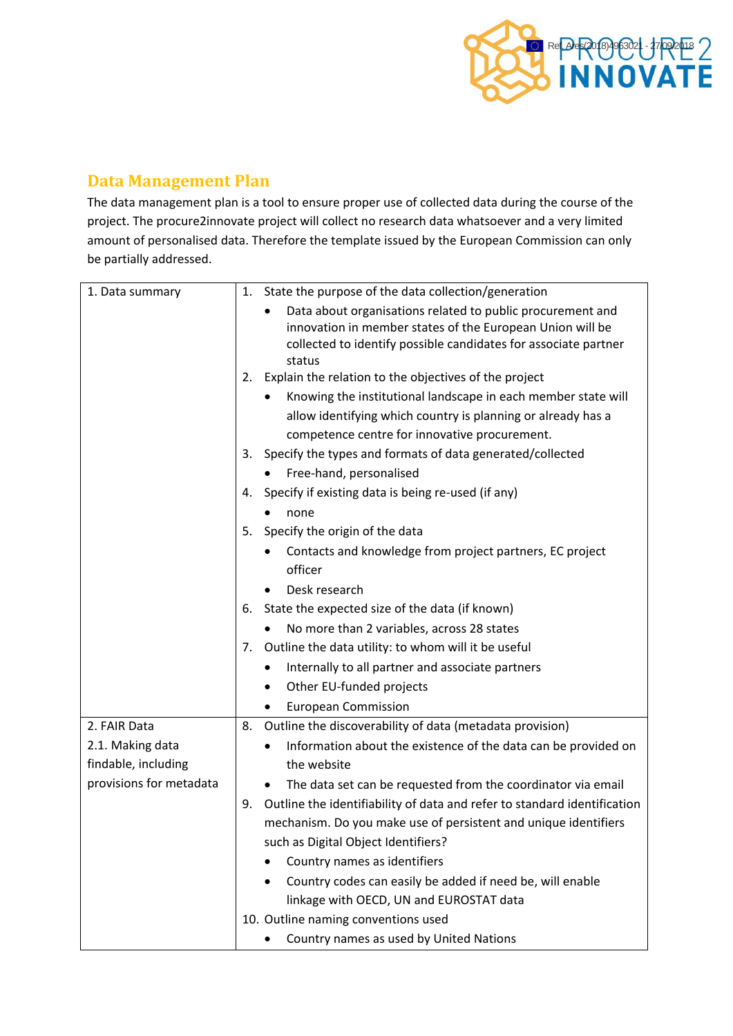

## **Data Management Plan**

The data management plan is a tool to ensure proper use of collected data during the course of the project. The procure2innovate project will collect no research data whatsoever and a very limited amount of personalised data. Therefore the template issued by the European Commission can only be partially addressed.

| 1. Data summary         | 1. | State the purpose of the data collection/generation                                                                                                                                                  |
|-------------------------|----|------------------------------------------------------------------------------------------------------------------------------------------------------------------------------------------------------|
|                         |    | Data about organisations related to public procurement and<br>innovation in member states of the European Union will be<br>collected to identify possible candidates for associate partner<br>status |
|                         |    | 2. Explain the relation to the objectives of the project                                                                                                                                             |
|                         |    | Knowing the institutional landscape in each member state will                                                                                                                                        |
|                         |    | allow identifying which country is planning or already has a                                                                                                                                         |
|                         |    | competence centre for innovative procurement.                                                                                                                                                        |
|                         | 3. | Specify the types and formats of data generated/collected                                                                                                                                            |
|                         |    | Free-hand, personalised                                                                                                                                                                              |
|                         | 4. | Specify if existing data is being re-used (if any)                                                                                                                                                   |
|                         |    | none                                                                                                                                                                                                 |
|                         | 5. | Specify the origin of the data                                                                                                                                                                       |
|                         |    | Contacts and knowledge from project partners, EC project                                                                                                                                             |
|                         |    | officer                                                                                                                                                                                              |
|                         |    | Desk research                                                                                                                                                                                        |
|                         | 6. | State the expected size of the data (if known)                                                                                                                                                       |
|                         |    | No more than 2 variables, across 28 states                                                                                                                                                           |
|                         | 7. | Outline the data utility: to whom will it be useful                                                                                                                                                  |
|                         |    | Internally to all partner and associate partners<br>٠                                                                                                                                                |
|                         |    | Other EU-funded projects<br>٠                                                                                                                                                                        |
|                         |    | <b>European Commission</b>                                                                                                                                                                           |
| 2. FAIR Data            | 8. | Outline the discoverability of data (metadata provision)                                                                                                                                             |
| 2.1. Making data        |    | Information about the existence of the data can be provided on                                                                                                                                       |
| findable, including     |    | the website                                                                                                                                                                                          |
| provisions for metadata |    | The data set can be requested from the coordinator via email<br>$\bullet$                                                                                                                            |
|                         | 9. | Outline the identifiability of data and refer to standard identification                                                                                                                             |
|                         |    | mechanism. Do you make use of persistent and unique identifiers                                                                                                                                      |
|                         |    | such as Digital Object Identifiers?                                                                                                                                                                  |
|                         |    | Country names as identifiers                                                                                                                                                                         |
|                         |    | Country codes can easily be added if need be, will enable                                                                                                                                            |
|                         |    | linkage with OECD, UN and EUROSTAT data                                                                                                                                                              |
|                         |    | 10. Outline naming conventions used                                                                                                                                                                  |
|                         |    | Country names as used by United Nations                                                                                                                                                              |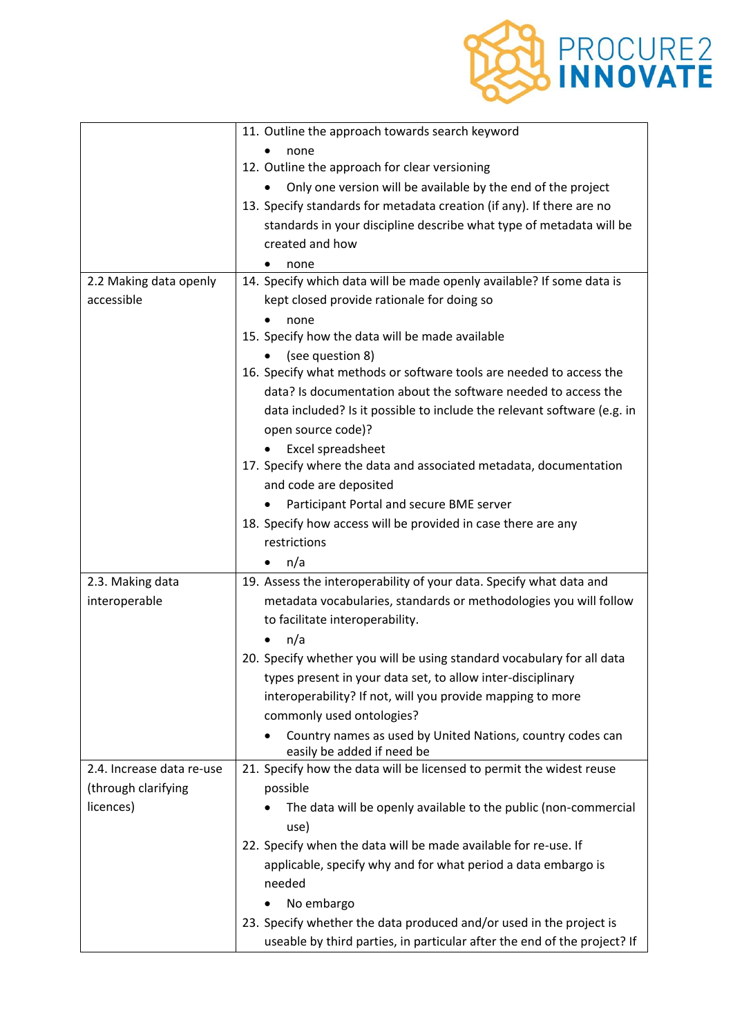

|                           | 11. Outline the approach towards search keyword                          |
|---------------------------|--------------------------------------------------------------------------|
|                           | none                                                                     |
|                           | 12. Outline the approach for clear versioning                            |
|                           | Only one version will be available by the end of the project             |
|                           | 13. Specify standards for metadata creation (if any). If there are no    |
|                           | standards in your discipline describe what type of metadata will be      |
|                           | created and how                                                          |
|                           | none                                                                     |
| 2.2 Making data openly    | 14. Specify which data will be made openly available? If some data is    |
| accessible                | kept closed provide rationale for doing so                               |
|                           | none                                                                     |
|                           | 15. Specify how the data will be made available                          |
|                           | (see question 8)                                                         |
|                           | 16. Specify what methods or software tools are needed to access the      |
|                           | data? Is documentation about the software needed to access the           |
|                           | data included? Is it possible to include the relevant software (e.g. in  |
|                           | open source code)?                                                       |
|                           | Excel spreadsheet                                                        |
|                           | 17. Specify where the data and associated metadata, documentation        |
|                           | and code are deposited                                                   |
|                           | Participant Portal and secure BME server                                 |
|                           | 18. Specify how access will be provided in case there are any            |
|                           | restrictions                                                             |
|                           | n/a                                                                      |
| 2.3. Making data          | 19. Assess the interoperability of your data. Specify what data and      |
| interoperable             | metadata vocabularies, standards or methodologies you will follow        |
|                           | to facilitate interoperability.                                          |
|                           | n/a                                                                      |
|                           | 20. Specify whether you will be using standard vocabulary for all data   |
|                           | types present in your data set, to allow inter-disciplinary              |
|                           | interoperability? If not, will you provide mapping to more               |
|                           | commonly used ontologies?                                                |
|                           | Country names as used by United Nations, country codes can               |
|                           | easily be added if need be                                               |
| 2.4. Increase data re-use | 21. Specify how the data will be licensed to permit the widest reuse     |
| (through clarifying       | possible                                                                 |
| licences)                 | The data will be openly available to the public (non-commercial          |
|                           | use)                                                                     |
|                           | 22. Specify when the data will be made available for re-use. If          |
|                           | applicable, specify why and for what period a data embargo is            |
|                           | needed                                                                   |
|                           | No embargo                                                               |
|                           | 23. Specify whether the data produced and/or used in the project is      |
|                           |                                                                          |
|                           | useable by third parties, in particular after the end of the project? If |